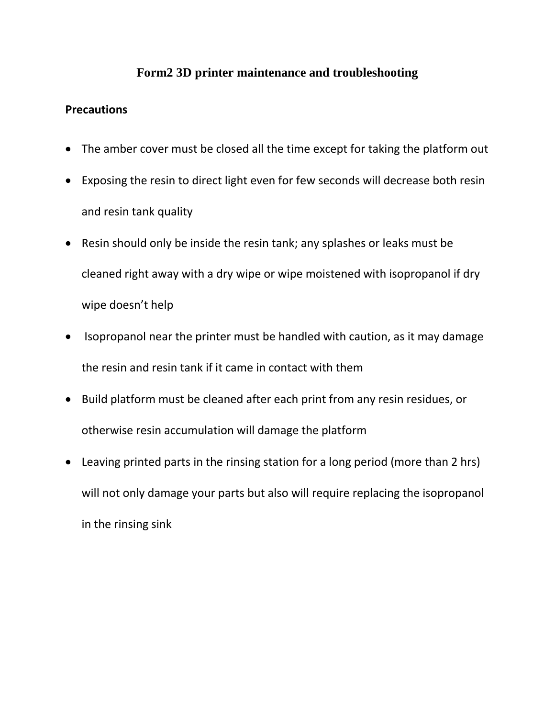## **Form2 3D printer maintenance and troubleshooting**

## **Precautions**

- The amber cover must be closed all the time except for taking the platform out
- Exposing the resin to direct light even for few seconds will decrease both resin and resin tank quality
- Resin should only be inside the resin tank; any splashes or leaks must be cleaned right away with a dry wipe or wipe moistened with isopropanol if dry wipe doesn't help
- Isopropanol near the printer must be handled with caution, as it may damage the resin and resin tank if it came in contact with them
- Build platform must be cleaned after each print from any resin residues, or otherwise resin accumulation will damage the platform
- Leaving printed parts in the rinsing station for a long period (more than 2 hrs) will not only damage your parts but also will require replacing the isopropanol in the rinsing sink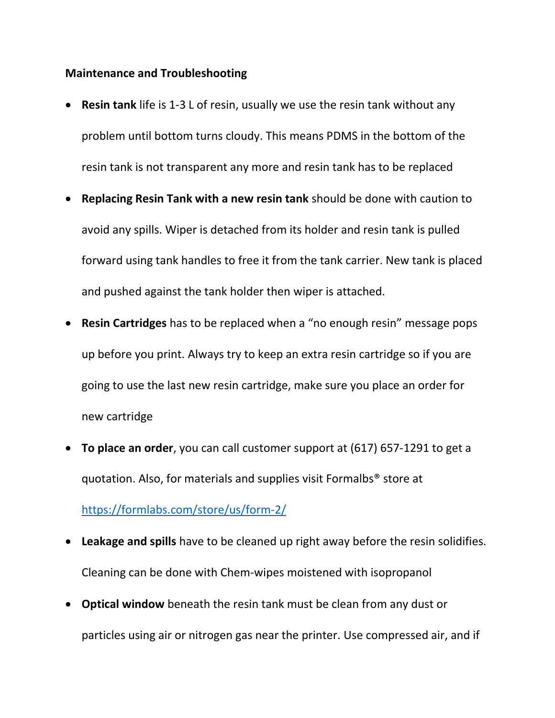## **Maintenance and Troubleshooting**

- **Resin tank** life is 1-3 L of resin, usually we use the resin tank without any problem until bottom turns cloudy. This means PDMS in the bottom of the resin tank is not transparent any more and resin tank has to be replaced
- **Replacing Resin Tank with a new resin tank** should be done with caution to avoid any spills. Wiper is detached from its holder and resin tank is pulled forward using tank handles to free it from the tank carrier. New tank is placed and pushed against the tank holder then wiper is attached.
- **Resin Cartridges** has to be replaced when a "no enough resin" message pops up before you print. Always try to keep an extra resin cartridge so if you are going to use the last new resin cartridge, make sure you place an order for new cartridge
- **To place an order**, you can call customer support at (617) 657-1291 to get a quotation. Also, for materials and supplies visit Formalbs® store at <https://formlabs.com/store/us/form-2/>
- **Leakage and spills** have to be cleaned up right away before the resin solidifies. Cleaning can be done with Chem-wipes moistened with isopropanol
- **Optical window** beneath the resin tank must be clean from any dust or particles using air or nitrogen gas near the printer. Use compressed air, and if